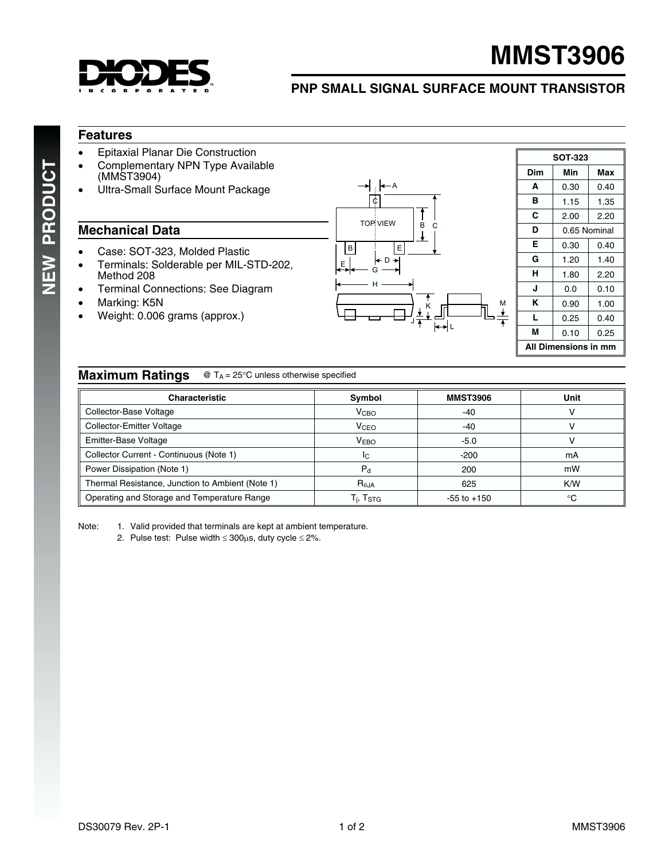

# **MMST3906**

## **PNP SMALL SIGNAL SURFACE MOUNT TRANSISTOR**

#### **Features**

- Epitaxial Planar Die Construction
- Complementary NPN Type Available (MMST3904)
- Ultra-Small Surface Mount Package

#### **Mechanical Data**

- Case: SOT-323, Molded Plastic
- Terminals: Solderable per MIL-STD-202, Method 208
- Terminal Connections: See Diagram
- Marking: K5N
- Weight: 0.006 grams (approx.)



| <b>SOT-323</b>       |              |      |  |  |  |  |  |
|----------------------|--------------|------|--|--|--|--|--|
| Dim                  | Min<br>Max   |      |  |  |  |  |  |
| A                    | 0.30         | 0.40 |  |  |  |  |  |
| в                    | 1.15         | 1.35 |  |  |  |  |  |
| C                    | 2.00         | 2.20 |  |  |  |  |  |
| D                    | 0.65 Nominal |      |  |  |  |  |  |
| Е                    | 0.30         | 0.40 |  |  |  |  |  |
| G                    | 1.20         | 1.40 |  |  |  |  |  |
| н                    | 1.80         | 2.20 |  |  |  |  |  |
| J                    | 0.0          | 0.10 |  |  |  |  |  |
| ĸ                    | 0.90         | 1.00 |  |  |  |  |  |
| L                    | 0.25         | 0.40 |  |  |  |  |  |
| М                    | 0.10         | 0.25 |  |  |  |  |  |
| All Dimensions in mm |              |      |  |  |  |  |  |

M

### **Maximum Ratings** @ T<sub>A</sub> = 25°C unless otherwise specified

| <b>Characteristic</b>                            | Symbol                                               | <b>MMST3906</b> | Unit |
|--------------------------------------------------|------------------------------------------------------|-----------------|------|
| Collector-Base Voltage                           | V <sub>CBO</sub>                                     | $-40$           |      |
| <b>Collector-Emitter Voltage</b>                 | V <sub>CEO</sub>                                     | $-40$           |      |
| Emitter-Base Voltage                             | <b>VEBO</b>                                          | $-5.0$          |      |
| Collector Current - Continuous (Note 1)          | IC                                                   | $-200$          | mA   |
| Power Dissipation (Note 1)                       | $P_{d}$                                              | 200             | mW   |
| Thermal Resistance, Junction to Ambient (Note 1) | $R_{0,IA}$                                           | 625             | K/W  |
| Operating and Storage and Temperature Range      | $\mathsf{T}_{\mathsf{i}}, \mathsf{T}_{\mathsf{STG}}$ | $-55$ to $+150$ | °C   |

Note: 1. Valid provided that terminals are kept at ambient temperature.

2. Pulse test: Pulse width  $\leq 300 \mu s$ , duty cycle  $\leq 2\%$ .